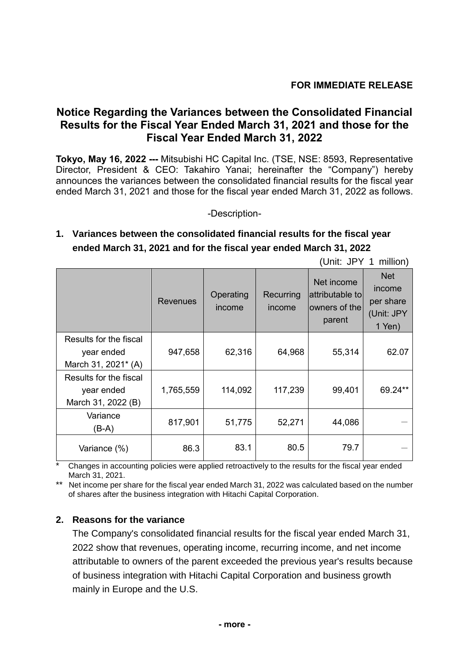## **Notice Regarding the Variances between the Consolidated Financial Results for the Fiscal Year Ended March 31, 2021 and those for the Fiscal Year Ended March 31, 2022**

**Tokyo, May 16, 2022 ---** Mitsubishi HC Capital Inc. (TSE, NSE: 8593, Representative Director, President & CEO: Takahiro Yanai; hereinafter the "Company") hereby announces the variances between the consolidated financial results for the fiscal year ended March 31, 2021 and those for the fiscal year ended March 31, 2022 as follows.

-Description-

## **1. Variances between the consolidated financial results for the fiscal year ended March 31, 2021 and for the fiscal year ended March 31, 2022**

|                                                             | (Unit: JPY 1 million) |                     |                     |                                                          |                                                           |  |
|-------------------------------------------------------------|-----------------------|---------------------|---------------------|----------------------------------------------------------|-----------------------------------------------------------|--|
|                                                             | <b>Revenues</b>       | Operating<br>income | Recurring<br>income | Net income<br>attributable to<br>owners of the<br>parent | <b>Net</b><br>income<br>per share<br>(Unit: JPY<br>1 Yen) |  |
| Results for the fiscal<br>year ended<br>March 31, 2021* (A) | 947,658               | 62,316              | 64,968              | 55,314                                                   | 62.07                                                     |  |
| Results for the fiscal<br>year ended<br>March 31, 2022 (B)  | 1,765,559             | 114,092             | 117,239             | 99,401                                                   | 69.24**                                                   |  |
| Variance<br>(B-A)                                           | 817,901               | 51,775              | 52,271              | 44,086                                                   |                                                           |  |
| Variance (%)                                                | 86.3                  | 83.1                | 80.5                | 79.7                                                     |                                                           |  |

\* Changes in accounting policies were applied retroactively to the results for the fiscal year ended March 31, 2021.

\*\* Net income per share for the fiscal year ended March 31, 2022 was calculated based on the number of shares after the business integration with Hitachi Capital Corporation.

## **2. Reasons for the variance**

The Company's consolidated financial results for the fiscal year ended March 31, 2022 show that revenues, operating income, recurring income, and net income attributable to owners of the parent exceeded the previous year's results because of business integration with Hitachi Capital Corporation and business growth mainly in Europe and the U.S.